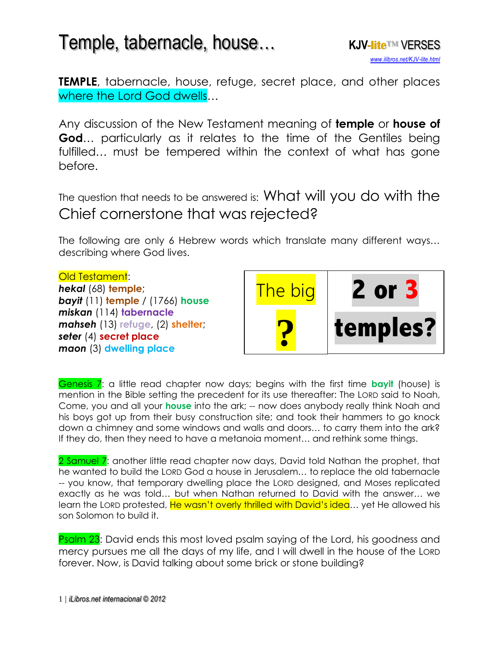

**TEMPLE**, tabernacle, house, refuge, secret place, and other places where the Lord God dwells…

Any discussion of the New Testament meaning of **temple** or **house of God...** particularly as it relates to the time of the Gentiles being fulfilled… must be tempered within the context of what has gone before.

The question that needs to be answered is: What will you do with the Chief cornerstone that was rejected?

The following are only 6 Hebrew words which translate many different ways… describing where God lives.

#### Old Testament: *hekal* (68) **temple**; *bayit* (11) **temple** / (1766) **house** *miskan* (114) **tabernacle** *mahseh* (13) **refuge**, (2) **shelter**; *seter* (4) **secret place** *maon* (3) **dwelling place**



Genesis 7: a little read chapter now days; begins with the first time **bayit** (house) is mention in the Bible setting the precedent for its use thereafter: The LORD said to Noah, Come, you and all your **house** into the ark; -- now does anybody really think Noah and his boys got up from their busy construction site; and took their hammers to go knock down a chimney and some windows and walls and doors… to carry them into the ark? If they do, then they need to have a metanoia moment… and rethink some things.

2 Samuel 7: another little read chapter now days, David told Nathan the prophet, that he wanted to build the LORD God a house in Jerusalem… to replace the old tabernacle -- you know, that temporary dwelling place the LORD designed, and Moses replicated exactly as he was told… but when Nathan returned to David with the answer… we learn the LORD protested, He wasn't overly thrilled with David's idea... yet He allowed his son Solomon to build it.

**Psalm 23:** David ends this most loved psalm saying of the Lord, his goodness and mercy pursues me all the days of my life, and I will dwell in the house of the LORD forever. Now, is David talking about some brick or stone building?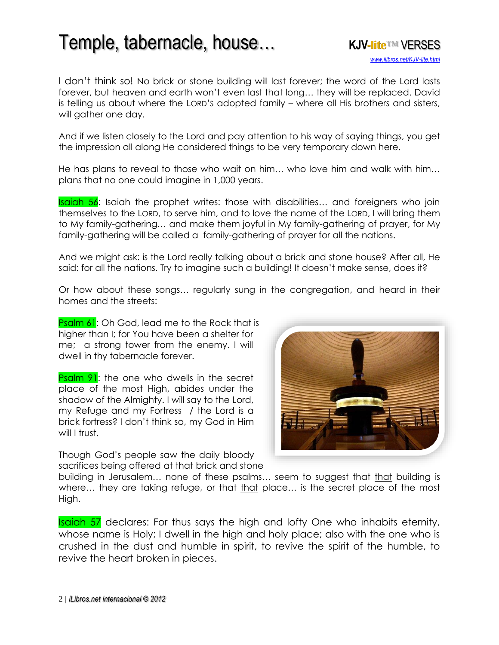

I don't think so! No brick or stone building will last forever; the word of the Lord lasts forever, but heaven and earth won't even last that long… they will be replaced. David is telling us about where the LORD'S adopted family – where all His brothers and sisters, will gather one day.

And if we listen closely to the Lord and pay attention to his way of saying things, you get the impression all along He considered things to be very temporary down here.

He has plans to reveal to those who wait on him… who love him and walk with him… plans that no one could imagine in 1,000 years.

Isaiah 56: Isaiah the prophet writes: those with disabilities... and foreigners who join themselves to the LORD, to serve him, and to love the name of the LORD, I will bring them to My family-gathering… and make them joyful in My family-gathering of prayer, for My family-gathering will be called a family-gathering of prayer for all the nations.

And we might ask: is the Lord really talking about a brick and stone house? After all, He said: for all the nations. Try to imagine such a building! It doesn't make sense, does it?

Or how about these songs… regularly sung in the congregation, and heard in their homes and the streets:

Psalm 61: Oh God, lead me to the Rock that is higher than I; for You have been a shelter for me; a strong tower from the enemy. I will dwell in thy tabernacle forever.

**Psalm 91:** the one who dwells in the secret place of the most High, abides under the shadow of the Almighty. I will say to the Lord, my Refuge and my Fortress / the Lord is a brick fortress? I don't think so, my God in Him will I trust.

Though God's people saw the daily bloody sacrifices being offered at that brick and stone



building in Jerusalem… none of these psalms… seem to suggest that that building is where... they are taking refuge, or that that place... is the secret place of the most High.

**Isaiah 57** declares: For thus says the high and lofty One who inhabits eternity, whose name is Holy; I dwell in the high and holy place; also with the one who is crushed in the dust and humble in spirit, to revive the spirit of the humble, to revive the heart broken in pieces.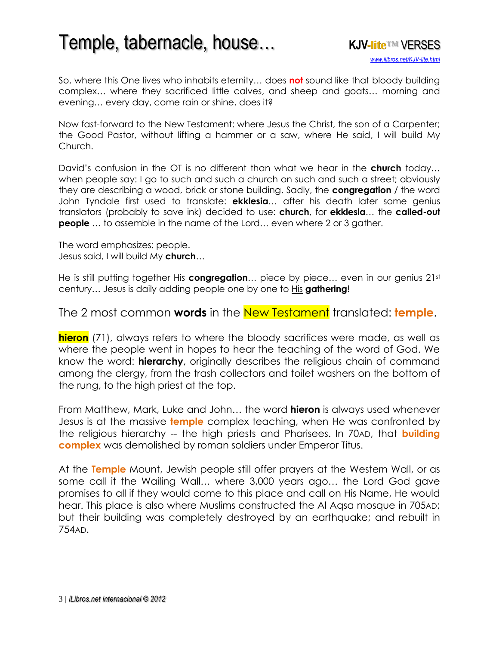

So, where this One lives who inhabits eternity… does **not** sound like that bloody building complex… where they sacrificed little calves, and sheep and goats… morning and evening… every day, come rain or shine, does it?

Now fast-forward to the New Testament: where Jesus the Christ, the son of a Carpenter; the Good Pastor, without lifting a hammer or a saw, where He said, I will build My Church.

David's confusion in the OT is no different than what we hear in the **church** today… when people say: I go to such and such a church on such and such a street; obviously they are describing a wood, brick or stone building. Sadly, the **congregation** / the word John Tyndale first used to translate: **ekklesia**… after his death later some genius translators (probably to save ink) decided to use: **church**, for **ekklesia**… the **called-out people** ... to assemble in the name of the Lord... even where 2 or 3 gather.

The word emphasizes: people. Jesus said, I will build My **church**…

He is still putting together His **congregation**… piece by piece… even in our genius 21st century… Jesus is daily adding people one by one to His **gathering**!

### The 2 most common **words** in the New Testament translated: **temple**.

**hieron** (71), always refers to where the bloody sacrifices were made, as well as where the people went in hopes to hear the teaching of the word of God. We know the word: **hierarchy**, originally describes the religious chain of command among the clergy, from the trash collectors and toilet washers on the bottom of the rung, to the high priest at the top.

From Matthew, Mark, Luke and John… the word **hieron** is always used whenever Jesus is at the massive **temple** complex teaching, when He was confronted by the religious hierarchy -- the high priests and Pharisees. In 70AD, that **building complex** was demolished by roman soldiers under Emperor Titus.

At the **Temple** Mount, Jewish people still offer prayers at the Western Wall, or as some call it the Wailing Wall… where 3,000 years ago… the Lord God gave promises to all if they would come to this place and call on His Name, He would hear. This place is also where Muslims constructed the Al Aqsa mosque in 705AD; but their building was completely destroyed by an earthquake; and rebuilt in 754AD.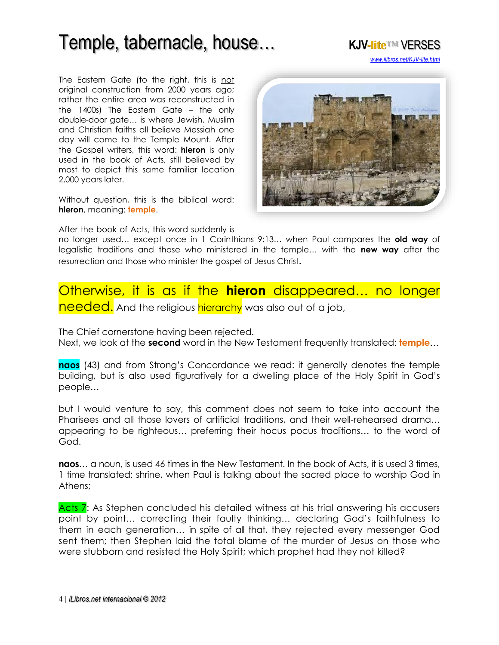The Eastern Gate (to the right, this is not original construction from 2000 years ago; rather the entire area was reconstructed in the 1400s) The Eastern Gate – the only double-door gate… is where Jewish, Muslim and Christian faiths all believe Messiah one day will come to the Temple Mount. After the Gospel writers, this word: **hieron** is only used in the book of Acts, still believed by most to depict this same familiar location 2,000 years later.

Without question, this is the biblical word: **hieron**, meaning: **temple**.



*[www.ilibros.net/KJV-lite.html](http://www.ilibros.net/KJV-lite.html)*

After the book of Acts, this word suddenly is

no longer used… except once in 1 Corinthians 9:13… when Paul compares the **old way** of legalistic traditions and those who ministered in the temple… with the **new way** after the resurrection and those who minister the gospel of Jesus Christ.

### Otherwise, it is as if the **hieron** disappeared… no longer needed. And the religious hierarchy was also out of a job,

The Chief cornerstone having been rejected.

Next, we look at the **second** word in the New Testament frequently translated: **temple**…

**naos** (43) and from Strong's Concordance we read: it generally denotes the temple building, but is also used figuratively for a dwelling place of the Holy Spirit in God's people…

but I would venture to say, this comment does not seem to take into account the Pharisees and all those lovers of artificial traditions, and their well-rehearsed drama… appearing to be righteous… preferring their hocus pocus traditions… to the word of God.

**naos**… a noun, is used 46 times in the New Testament. In the book of Acts, it is used 3 times, 1 time translated: shrine, when Paul is talking about the sacred place to worship God in Athens;

Acts 7: As Stephen concluded his detailed witness at his trial answering his accusers point by point… correcting their faulty thinking… declaring God's faithfulness to them in each generation… in spite of all that, they rejected every messenger God sent them; then Stephen laid the total blame of the murder of Jesus on those who were stubborn and resisted the Holy Spirit; which prophet had they not killed?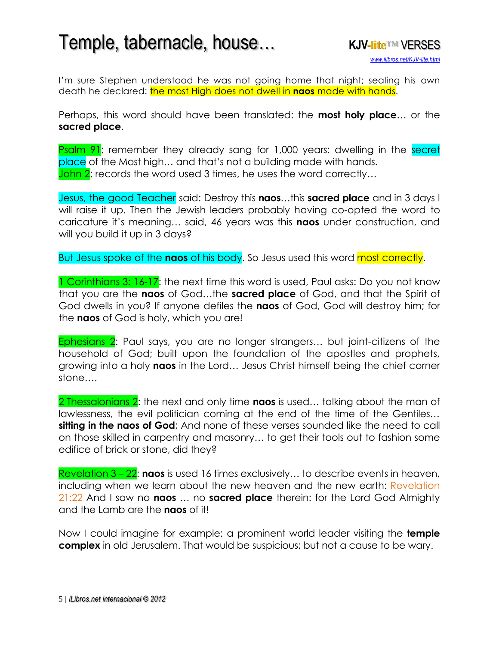I'm sure Stephen understood he was not going home that night; sealing his own death he declared: the most High does not dwell in **naos** made with hands.

Perhaps, this word should have been translated: the **most holy place**… or the **sacred place**.

**Psalm 91:** remember they already sang for 1,000 years: dwelling in the secret place of the Most high… and that's not a building made with hands. John 2: records the word used 3 times, he uses the word correctly...

Jesus, the good Teacher said: Destroy this **naos**…this **sacred place** and in 3 days I will raise it up. Then the Jewish leaders probably having co-opted the word to caricature it's meaning… said, 46 years was this **naos** under construction, and will you build it up in 3 days?

But Jesus spoke of the **naos** of his body. So Jesus used this word most correctly.

1 Corinthians 3: 16-17: the next time this word is used, Paul asks: Do you not know that you are the **naos** of God…the **sacred place** of God, and that the Spirit of God dwells in you? If anyone defiles the **naos** of God, God will destroy him; for the **naos** of God is holy, which you are!

Ephesians 2: Paul says, you are no longer strangers… but joint-citizens of the household of God; built upon the foundation of the apostles and prophets, growing into a holy **naos** in the Lord… Jesus Christ himself being the chief corner stone….

2 Thessalonians 2: the next and only time **naos** is used… talking about the man of lawlessness, the evil politician coming at the end of the time of the Gentiles… **sitting in the naos of God**; And none of these verses sounded like the need to call on those skilled in carpentry and masonry… to get their tools out to fashion some edifice of brick or stone, did they?

Revelation 3 – 22: **naos** is used 16 times exclusively… to describe events in heaven, including when we learn about the new heaven and the new earth: Revelation 21:22 And I saw no **naos** … no **sacred place** therein: for the Lord God Almighty and the Lamb are the **naos** of it!

Now I could imagine for example: a prominent world leader visiting the **temple complex** in old Jerusalem. That would be suspicious; but not a cause to be wary.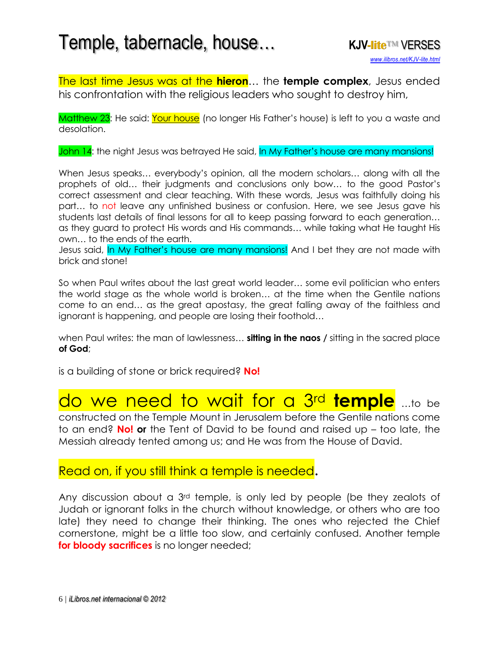The last time Jesus was at the **hieron**… the **temple complex**, Jesus ended his confrontation with the religious leaders who sought to destroy him,

Matthew 23: He said: Your house (no longer His Father's house) is left to you a waste and desolation.

John 14: the night Jesus was betrayed He said, In My Father's house are many mansions!

When Jesus speaks… everybody's opinion, all the modern scholars… along with all the prophets of old… their judgments and conclusions only bow… to the good Pastor's correct assessment and clear teaching. With these words, Jesus was faithfully doing his part… to not leave any unfinished business or confusion. Here, we see Jesus gave his students last details of final lessons for all to keep passing forward to each generation… as they guard to protect His words and His commands… while taking what He taught His own… to the ends of the earth.

Jesus said, In My Father's house are many mansions! And I bet they are not made with brick and stone!

So when Paul writes about the last great world leader… some evil politician who enters the world stage as the whole world is broken… at the time when the Gentile nations come to an end… as the great apostasy, the great falling away of the faithless and ignorant is happening, and people are losing their foothold…

when Paul writes: the man of lawlessness… **sitting in the naos /** sitting in the sacred place **of God**;

is a building of stone or brick required? **No!**

### do we need to wait for a 3rd **temple** …to be

constructed on the Temple Mount in Jerusalem before the Gentile nations come to an end? **No! or** the Tent of David to be found and raised up – too late, the Messiah already tented among us; and He was from the House of David.

### Read on, if you still think a temple is needed.

Any discussion about a 3rd temple, is only led by people (be they zealots of Judah or ignorant folks in the church without knowledge, or others who are too late) they need to change their thinking. The ones who rejected the Chief cornerstone, might be a little too slow, and certainly confused. Another temple **for bloody sacrifices** is no longer needed;